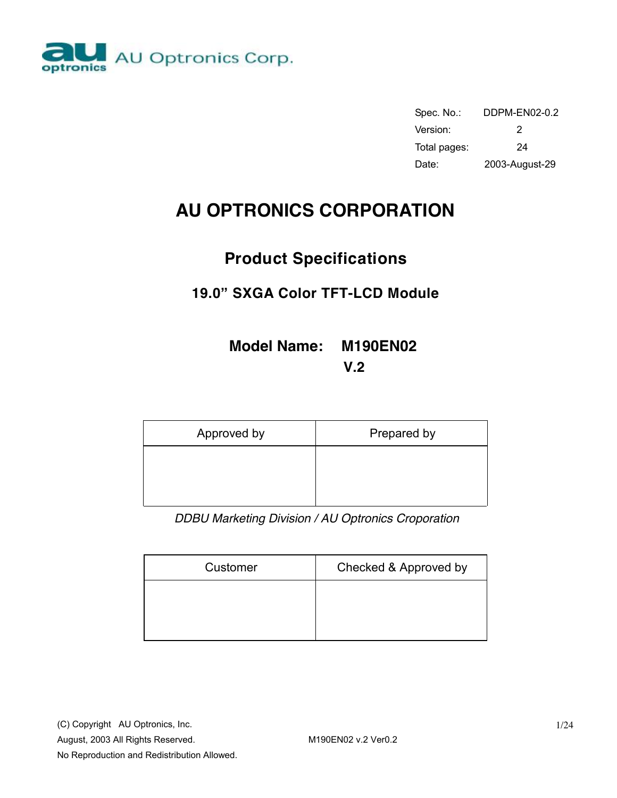

| Spec. No.:   | DDPM-EN02-0.2  |
|--------------|----------------|
| Version:     | 2              |
| Total pages: | 24             |
| Date:        | 2003-August-29 |

# **AU OPTRONICS CORPORATION**

# **Product Specifications**

# **19.0" SXGA Color TFT-LCD Module**

# **Model Name: M190EN02 V.2**

| Approved by | Prepared by |
|-------------|-------------|
|             |             |
|             |             |
|             |             |

*DDBU Marketing Division / AU Optronics Croporation* 

| Customer | Checked & Approved by |
|----------|-----------------------|
|          |                       |
|          |                       |
|          |                       |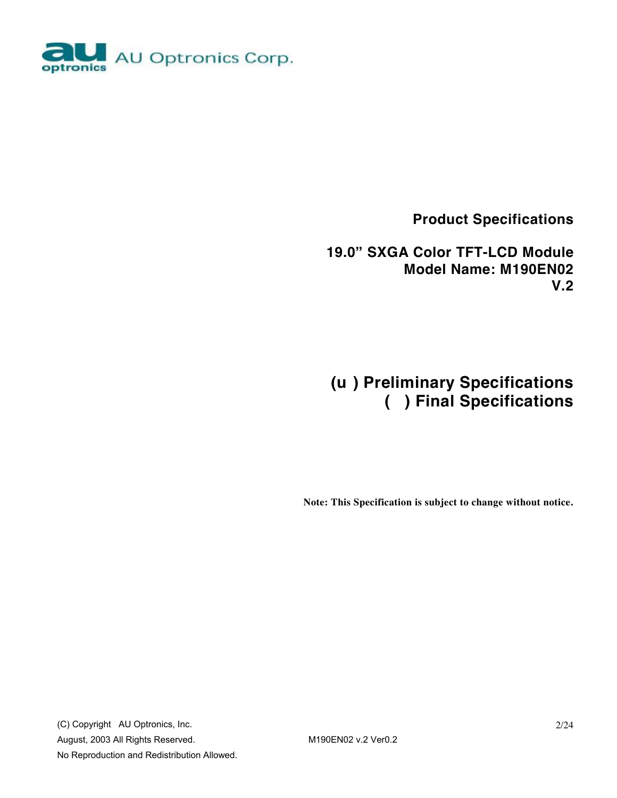

 **Product Specifications** 

 **19.0" SXGA Color TFT-LCD Module Model Name: M190EN02 V.2** 

**(u ) Preliminary Specifications ( ) Final Specifications** 

 **Note: This Specification is subject to change without notice.**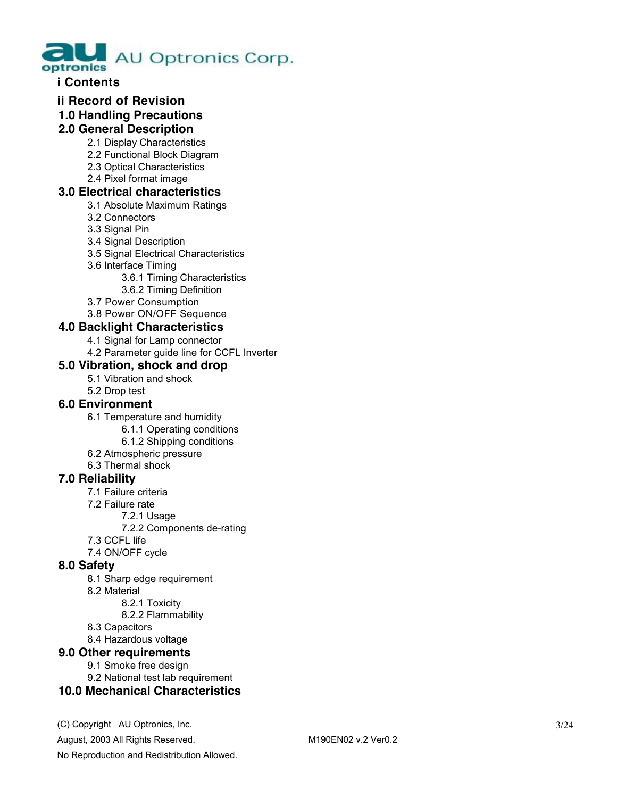## AU Optronics Corp. optronics

#### **i Contents**

#### **ii Record of Revision**

#### **1.0 Handling Precautions**

#### **2.0 General Description**

- 2.1 Display Characteristics
- 2.2 Functional Block Diagram
- 2.3 Optical Characteristics
- 2.4 Pixel format image

#### **3.0 Electrical characteristics**

- 3.1 Absolute Maximum Ratings
- 3.2 Connectors
- 3.3 Signal Pin
- 3.4 Signal Description
- 3.5 Signal Electrical Characteristics
- 3.6 Interface Timing
	- 3.6.1 Timing Characteristics
	- 3.6.2 Timing Definition
- 3.7 Power Consumption
- 3.8 Power ON/OFF Sequence

#### **4.0 Backlight Characteristics**

- 4.1 Signal for Lamp connector
- 4.2 Parameter guide line for CCFL Inverter

#### **5.0 Vibration, shock and drop**

- 5.1 Vibration and shock
- 5.2 Drop test

#### **6.0 Environment**

- 6.1 Temperature and humidity
	- 6.1.1 Operating conditions
		- 6.1.2 Shipping conditions
- 6.2 Atmospheric pressure
- 6.3 Thermal shock

#### **7.0 Reliability**

- 7.1 Failure criteria
- 7.2 Failure rate
	- 7.2.1 Usage
		- 7.2.2 Components de-rating
- 7.3 CCFL life
- 7.4 ON/OFF cycle

#### **8.0 Safety**

- 8.1 Sharp edge requirement
- 8.2 Material
	- 8.2.1 Toxicity
	- 8.2.2 Flammability
- 8.3 Capacitors
- 8.4 Hazardous voltage

#### **9.0 Other requirements**

- 9.1 Smoke free design
- 9.2 National test lab requirement

#### **10.0 Mechanical Characteristics**

(C) Copyright AU Optronics, Inc.

August, 2003 All Rights Reserved. M190EN02 v.2 Ver0.2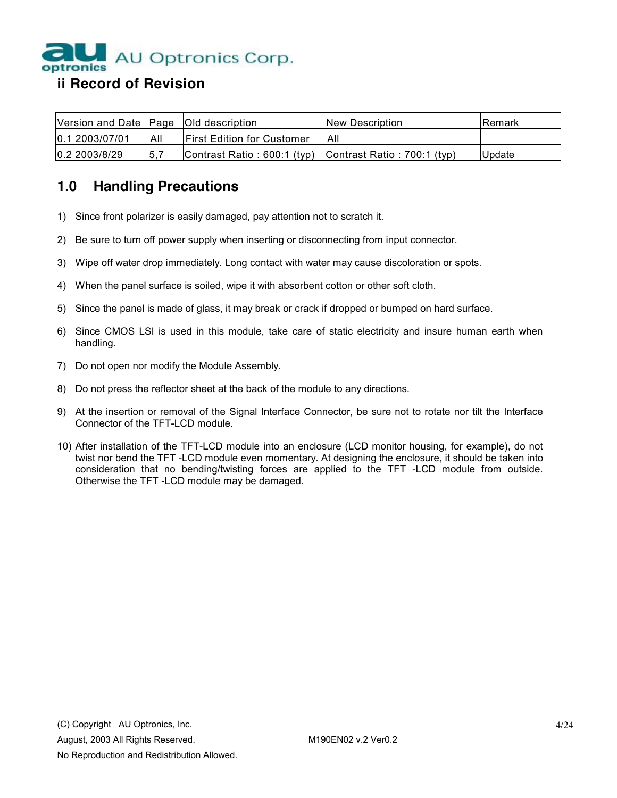AU Optronics Corp.

# **ii Record of Revision**

| Version and Date Page   Old description |      |                                                         | <b>New Description</b> | l Remark      |
|-----------------------------------------|------|---------------------------------------------------------|------------------------|---------------|
| 0.12003/07/01                           | All  | <b>First Edition for Customer</b>                       | All                    |               |
| 0.2 2003/8/29                           | 15.7 | Contrast Ratio: 600:1 (typ) Contrast Ratio: 700:1 (typ) |                        | <b>Update</b> |

# **1.0 Handling Precautions**

- 1) Since front polarizer is easily damaged, pay attention not to scratch it.
- 2) Be sure to turn off power supply when inserting or disconnecting from input connector.
- 3) Wipe off water drop immediately. Long contact with water may cause discoloration or spots.
- 4) When the panel surface is soiled, wipe it with absorbent cotton or other soft cloth.
- 5) Since the panel is made of glass, it may break or crack if dropped or bumped on hard surface.
- 6) Since CMOS LSI is used in this module, take care of static electricity and insure human earth when handling.
- 7) Do not open nor modify the Module Assembly.
- 8) Do not press the reflector sheet at the back of the module to any directions.
- 9) At the insertion or removal of the Signal Interface Connector, be sure not to rotate nor tilt the Interface Connector of the TFT-LCD module.
- 10) After installation of the TFT-LCD module into an enclosure (LCD monitor housing, for example), do not twist nor bend the TFT -LCD module even momentary. At designing the enclosure, it should be taken into consideration that no bending/twisting forces are applied to the TFT -LCD module from outside. Otherwise the TFT -LCD module may be damaged.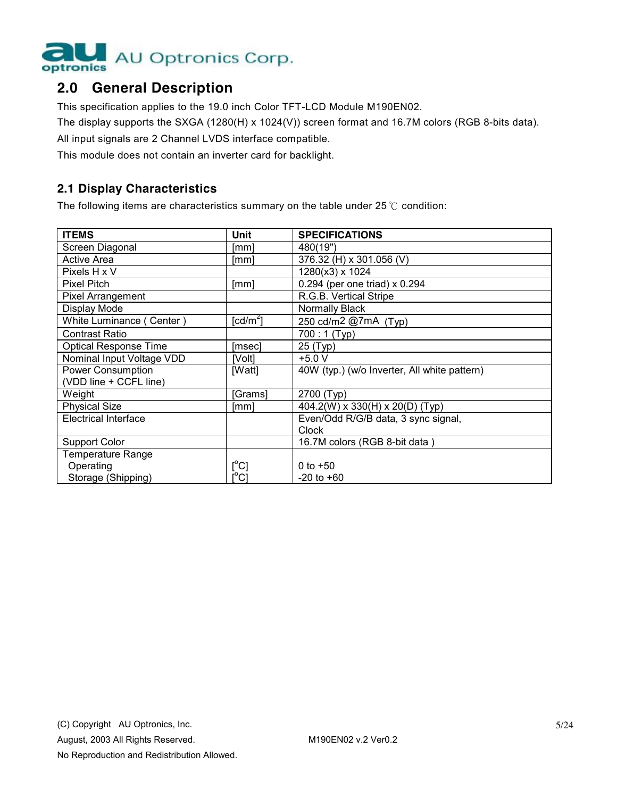

# **2.0 General Description**

This specification applies to the 19.0 inch Color TFT-LCD Module M190EN02.

The display supports the SXGA (1280(H) x 1024(V)) screen format and 16.7M colors (RGB 8-bits data).

All input signals are 2 Channel LVDS interface compatible.

This module does not contain an inverter card for backlight.

## **2.1 Display Characteristics**

The following items are characteristics summary on the table under  $25^{\circ}$  condition:

| <b>ITEMS</b>                 | Unit                | <b>SPECIFICATIONS</b>                        |
|------------------------------|---------------------|----------------------------------------------|
| Screen Diagonal              | [mm]                | 480(19")                                     |
| <b>Active Area</b>           | [mm]                | 376.32 (H) x 301.056 (V)                     |
| Pixels H x V                 |                     | 1280(x3) x 1024                              |
| <b>Pixel Pitch</b>           | [mm]                | 0.294 (per one triad) x 0.294                |
| Pixel Arrangement            |                     | R.G.B. Vertical Stripe                       |
| Display Mode                 |                     | Normally Black                               |
| White Luminance (Center)     | $\textsf{[cd/m}^2]$ | 250 cd/m2 @7mA (Typ)                         |
| <b>Contrast Ratio</b>        |                     | $700:1$ (Typ)                                |
| <b>Optical Response Time</b> | [msec]              | 25 (Typ)                                     |
| Nominal Input Voltage VDD    | [Volt]              | $+5.0 V$                                     |
| <b>Power Consumption</b>     | [Watt]              | 40W (typ.) (w/o Inverter, All white pattern) |
| (VDD line + CCFL line)       |                     |                                              |
| Weight                       | Grams]              | 2700 (Typ)                                   |
| <b>Physical Size</b>         | [mm]                | 404.2(W) x 330(H) x 20(D) (Typ)              |
| Electrical Interface         |                     | Even/Odd R/G/B data, 3 sync signal,          |
|                              |                     | Clock                                        |
| <b>Support Color</b>         |                     | 16.7M colors (RGB 8-bit data)                |
| <b>Temperature Range</b>     |                     |                                              |
| Operating                    | $[^{\circ}C]$       | 0 to $+50$                                   |
| Storage (Shipping)           | [°C]                | $-20$ to $+60$                               |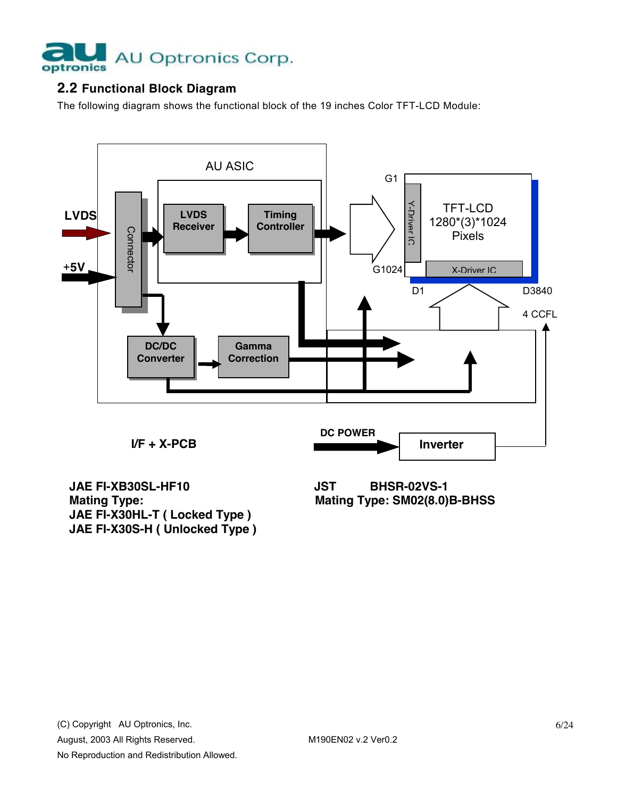# AU Optronics Corp. optronics

# **2.2 Functional Block Diagram**

The following diagram shows the functional block of the 19 inches Color TFT-LCD Module:



**JAE FI-XB30SL-HF10 JST BHSR-02VS-1 Mating Type: Mating Type: SM02(8.0)B-BHSS JAE FI-X30HL-T ( Locked Type ) JAE FI-X30S-H ( Unlocked Type )** 

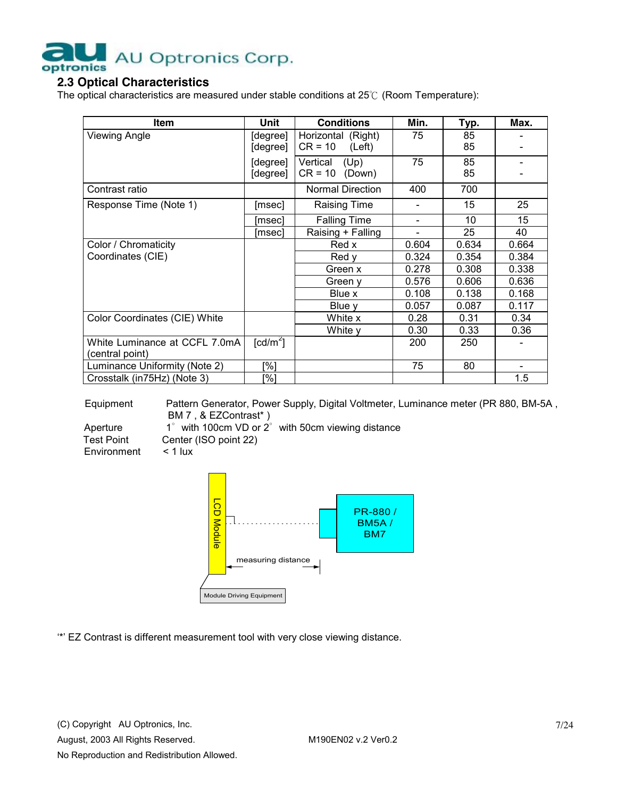# AU Optronics Corp. optronics

#### **2.3 Optical Characteristics**

The optical characteristics are measured under stable conditions at 25℃ (Room Temperature):

| <b>Item</b>                   | Unit                   | <b>Conditions</b>       | Min.           | Typ.  | Max.  |
|-------------------------------|------------------------|-------------------------|----------------|-------|-------|
| <b>Viewing Angle</b>          | [degree]               | Horizontal (Right)      | 75             | 85    |       |
|                               | [degree]               | $CR = 10$<br>(Left)     |                | 85    |       |
|                               | [degree]               | Vertical<br>(Up)        | 75             | 85    |       |
|                               | [degree]               | $CR = 10$<br>(Down)     |                | 85    |       |
| Contrast ratio                |                        | <b>Normal Direction</b> | 400            | 700   |       |
| Response Time (Note 1)        | [msec]                 | <b>Raising Time</b>     |                | 15    | 25    |
|                               | [msec]                 | <b>Falling Time</b>     |                | 10    | 15    |
|                               | [msec]                 | Raising + Falling       | $\blacksquare$ | 25    | 40    |
| Color / Chromaticity          |                        | Red x                   | 0.604          | 0.634 | 0.664 |
| Coordinates (CIE)             |                        | Red y                   |                | 0.354 | 0.384 |
|                               |                        | Green x                 | 0.278          | 0.308 | 0.338 |
|                               |                        | Green y                 | 0.576          | 0.606 | 0.636 |
|                               |                        | Blue x                  | 0.108          | 0.138 | 0.168 |
|                               |                        | Blue y                  | 0.057          | 0.087 | 0.117 |
| Color Coordinates (CIE) White |                        | White x                 | 0.28           | 0.31  | 0.34  |
|                               |                        | White y                 | 0.30           | 0.33  | 0.36  |
| White Luminance at CCFL 7.0mA | $\lceil cd/m^2 \rceil$ |                         | 200            | 250   |       |
| (central point)               |                        |                         |                |       |       |
| Luminance Uniformity (Note 2) | [%]                    |                         | 75             | 80    | -     |
| Crosstalk (in75Hz) (Note 3)   | [%]                    |                         |                |       | 1.5   |

Equipment Pattern Generator, Power Supply, Digital Voltmeter, Luminance meter (PR 880, BM-5A, BM 7, & EZContrast\*)

**Environment** 

Aperture 1° with 100cm VD or 2° with 50cm viewing distance Test Point Center (ISO point 22)<br>Environment < 1 lux



'\*' EZ Contrast is different measurement tool with very close viewing distance.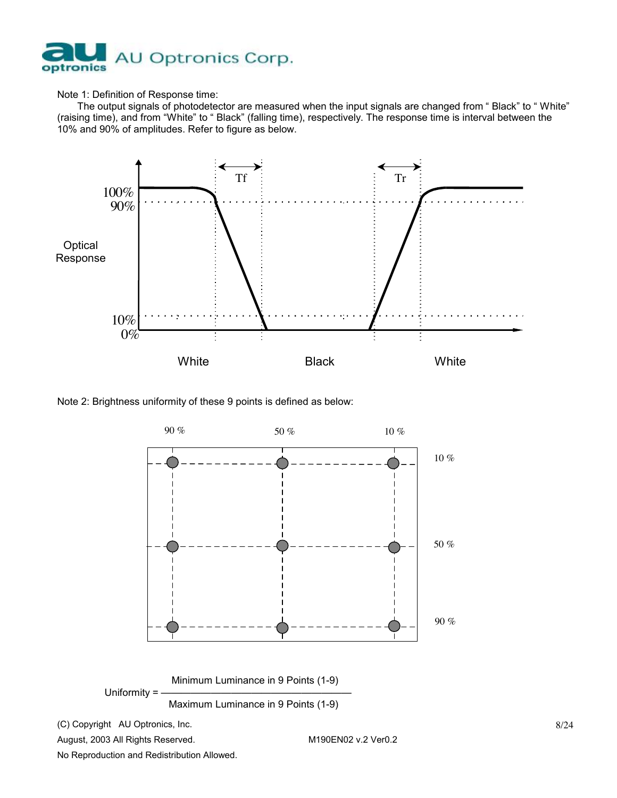

Note 1: Definition of Response time:

The output signals of photodetector are measured when the input signals are changed from " Black" to " White" (raising time), and from "White" to " Black" (falling time), respectively. The response time is interval between the 10% and 90% of amplitudes. Refer to figure as below.



Note 2: Brightness uniformity of these 9 points is defined as below:



(C) Copyright AU Optronics, Inc.

August, 2003 All Rights Reserved. M190EN02 v.2 Ver0.2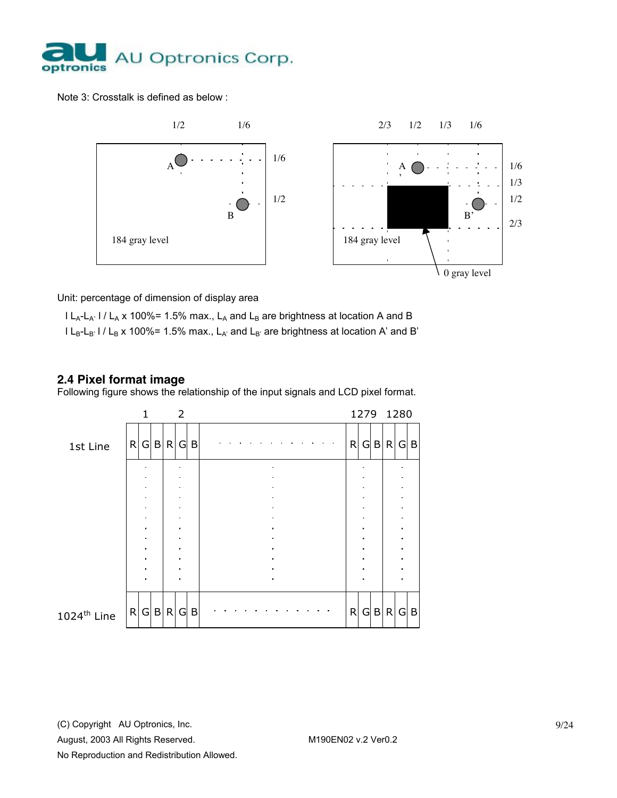

Note 3: Crosstalk is defined as below :



Unit: percentage of dimension of display area

 $l L_A-L_{A'}$  l /  $L_A$  x 100%= 1.5% max.,  $L_A$  and  $L_B$  are brightness at location A and B  $l L_{B} - L_{B'}$  l /  $L_{B}$  x 100%= 1.5% max.,  $L_{A'}$  and  $L_{B'}$  are brightness at location A' and B'

#### **2.4 Pixel format image**

Following figure shows the relationship of the input signals and LCD pixel format.

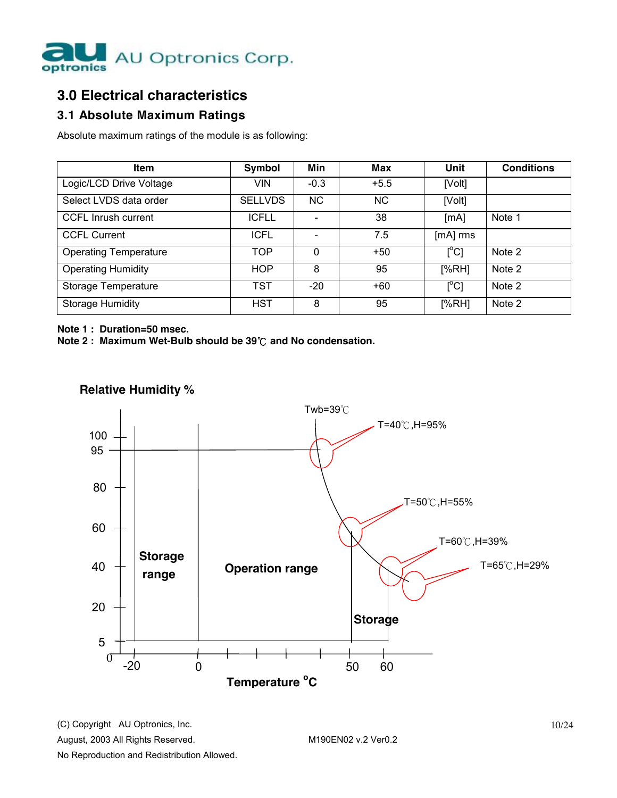

# **3.0 Electrical characteristics**

# **3.1 Absolute Maximum Ratings**

Absolute maximum ratings of the module is as following:

| <b>Item</b>                  | Symbol         | Min      | <b>Max</b> | Unit                      | <b>Conditions</b> |
|------------------------------|----------------|----------|------------|---------------------------|-------------------|
| Logic/LCD Drive Voltage      | VIN            | $-0.3$   | $+5.5$     | [Volt]                    |                   |
| Select LVDS data order       | <b>SELLVDS</b> | ΝC       | <b>NC</b>  | [Volt]                    |                   |
| <b>CCFL Inrush current</b>   | <b>ICFLL</b>   |          | 38         | [mA]                      | Note 1            |
| <b>CCFL Current</b>          | <b>ICFL</b>    |          | 7.5        | [mA] rms                  |                   |
| <b>Operating Temperature</b> | TOP            | $\Omega$ | $+50$      | $\mathsf{I}^{\circ}$ Cl   | Note 2            |
| <b>Operating Humidity</b>    | <b>HOP</b>     | 8        | 95         | [%RH]                     | Note 2            |
| Storage Temperature          | TST            | -20      | $+60$      | $\lceil{^{\circ}C}\rceil$ | Note 2            |
| <b>Storage Humidity</b>      | <b>HST</b>     | 8        | 95         | [%RH]                     | Note 2            |

#### **Note 1 : Duration=50 msec.**

**Note 2 : Maximum Wet-Bulb should be 39**℃ **and No condensation.** 



### **Relative Humidity %**

(C) Copyright AU Optronics, Inc. August, 2003 All Rights Reserved. M190EN02 v.2 Ver0.2 No Reproduction and Redistribution Allowed.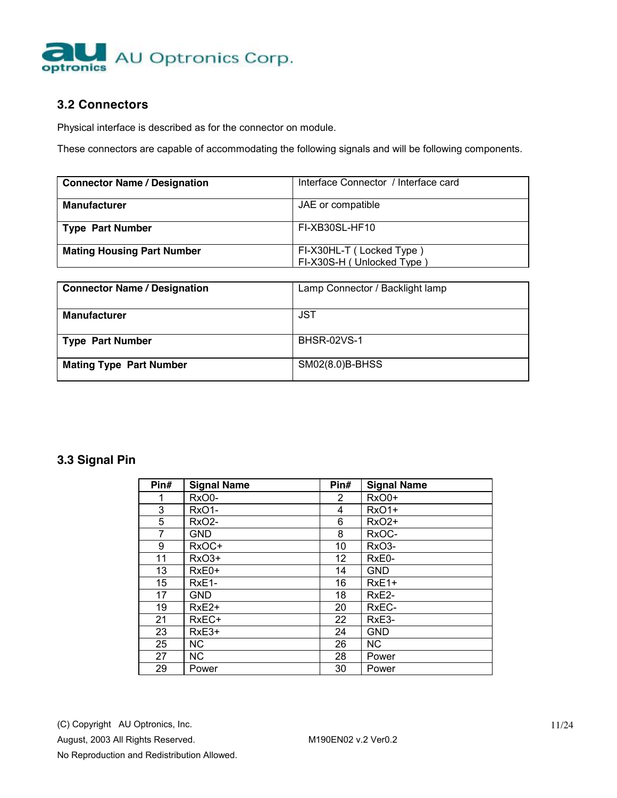

#### **3.2 Connectors**

Physical interface is described as for the connector on module.

These connectors are capable of accommodating the following signals and will be following components.

| <b>Connector Name / Designation</b> | Interface Connector / Interface card                  |
|-------------------------------------|-------------------------------------------------------|
| <b>Manufacturer</b>                 | JAE or compatible                                     |
| <b>Type Part Number</b>             | FI-XB30SL-HF10                                        |
| <b>Mating Housing Part Number</b>   | FI-X30HL-T (Locked Type)<br>FI-X30S-H (Unlocked Type) |

| <b>Connector Name / Designation</b> | Lamp Connector / Backlight lamp |
|-------------------------------------|---------------------------------|
| <b>Manufacturer</b>                 | JST                             |
| <b>Type Part Number</b>             | <b>BHSR-02VS-1</b>              |
| <b>Mating Type Part Number</b>      | SM02(8.0)B-BHSS                 |

## **3.3 Signal Pin**

| Pin# | <b>Signal Name</b> | Pin# | <b>Signal Name</b> |
|------|--------------------|------|--------------------|
| 1    | RxO0-              | 2    | RxO0+              |
| 3    | RxO1-              | 4    | <b>RxO1+</b>       |
| 5    | RxO <sub>2</sub> - | 6    | <b>RxO2+</b>       |
| 7    | <b>GND</b>         | 8    | RxOC-              |
| 9    | RxOC+              | 10   | RxO <sub>3</sub> - |
| 11   | <b>RxO3+</b>       | 12   | RxE0-              |
| 13   | RxE0+              | 14   | <b>GND</b>         |
| 15   | RxE1-              | 16   | RxE1+              |
| 17   | <b>GND</b>         | 18   | RxE2-              |
| 19   | RxE <sub>2+</sub>  | 20   | RxEC-              |
| 21   | RxEC+              | 22   | $RxE3-$            |
| 23   | RxE3+              | 24   | <b>GND</b>         |
| 25   | NC.                | 26   | NC.                |
| 27   | NC.                | 28   | Power              |
| 29   | Power              | 30   | Power              |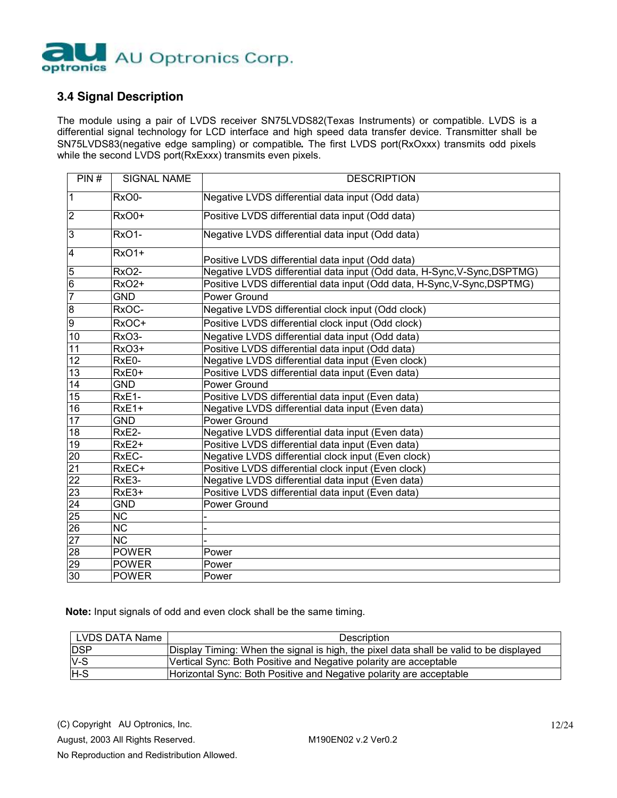

#### **3.4 Signal Description**

The module using a pair of LVDS receiver SN75LVDS82(Texas Instruments) or compatible. LVDS is a differential signal technology for LCD interface and high speed data transfer device. Transmitter shall be SN75LVDS83(negative edge sampling) or compatible**.** The first LVDS port(RxOxxx) transmits odd pixels while the second LVDS port(RxExxx) transmits even pixels.

| PIN#            | <b>SIGNAL NAME</b>     | <b>DESCRIPTION</b>                                                       |  |
|-----------------|------------------------|--------------------------------------------------------------------------|--|
| $\overline{1}$  | RxO0-                  | Negative LVDS differential data input (Odd data)                         |  |
| $\overline{2}$  | RxO0+                  | Positive LVDS differential data input (Odd data)                         |  |
| 3               | RxO1-                  | Negative LVDS differential data input (Odd data)                         |  |
| $\overline{4}$  | RxO1+                  | Positive LVDS differential data input (Odd data)                         |  |
| $\overline{5}$  | <b>RxO2-</b>           | Negative LVDS differential data input (Odd data, H-Sync, V-Sync, DSPTMG) |  |
| $6\overline{6}$ | RxO <sub>2+</sub>      | Positive LVDS differential data input (Odd data, H-Sync, V-Sync, DSPTMG) |  |
| 7               | <b>GND</b>             | <b>Power Ground</b>                                                      |  |
| $\overline{8}$  | RxOC-                  | Negative LVDS differential clock input (Odd clock)                       |  |
| 9               | RxOC+                  | Positive LVDS differential clock input (Odd clock)                       |  |
| $\overline{10}$ | RxO <sub>3</sub> -     | Negative LVDS differential data input (Odd data)                         |  |
| $\overline{11}$ | RxO3+                  | Positive LVDS differential data input (Odd data)                         |  |
| $\overline{12}$ | RxE0-                  | Negative LVDS differential data input (Even clock)                       |  |
| 13              | RxE0+                  | Positive LVDS differential data input (Even data)                        |  |
| $\overline{14}$ | <b>GND</b>             | Power Ground                                                             |  |
| $\overline{15}$ | RxE1-                  | Positive LVDS differential data input (Even data)                        |  |
| 16              | RxE1+                  | Negative LVDS differential data input (Even data)                        |  |
| 17              | <b>GND</b>             | Power Ground                                                             |  |
| 18              | RxE2-                  | Negative LVDS differential data input (Even data)                        |  |
| 19              | RxE2+                  | Positive LVDS differential data input (Even data)                        |  |
| $\overline{20}$ | RxEC-                  | Negative LVDS differential clock input (Even clock)                      |  |
| 21              | RxEC+                  | Positive LVDS differential clock input (Even clock)                      |  |
| $\overline{22}$ | RxE3-                  | Negative LVDS differential data input (Even data)                        |  |
| $\overline{23}$ | RxE3+                  | Positive LVDS differential data input (Even data)                        |  |
| $\overline{24}$ | <b>GND</b>             | Power Ground                                                             |  |
| 25              | <b>NC</b>              |                                                                          |  |
| 26              | $\overline{\text{NC}}$ |                                                                          |  |
| $\overline{27}$ | $\overline{\text{NC}}$ |                                                                          |  |
| $\overline{28}$ | <b>POWER</b>           | Power                                                                    |  |
| 29              | <b>POWER</b>           | Power                                                                    |  |
| 30              | <b>POWER</b>           | Power                                                                    |  |

 **Note:** Input signals of odd and even clock shall be the same timing.

| LVDS DATA Name | <b>Description</b>                                                                     |
|----------------|----------------------------------------------------------------------------------------|
| <b>DSP</b>     | Display Timing: When the signal is high, the pixel data shall be valid to be displayed |
| $V-S$          | Vertical Sync: Both Positive and Negative polarity are acceptable                      |
| $H-S$          | Horizontal Sync: Both Positive and Negative polarity are acceptable                    |

(C) Copyright AU Optronics, Inc. August, 2003 All Rights Reserved. M190EN02 v.2 Ver0.2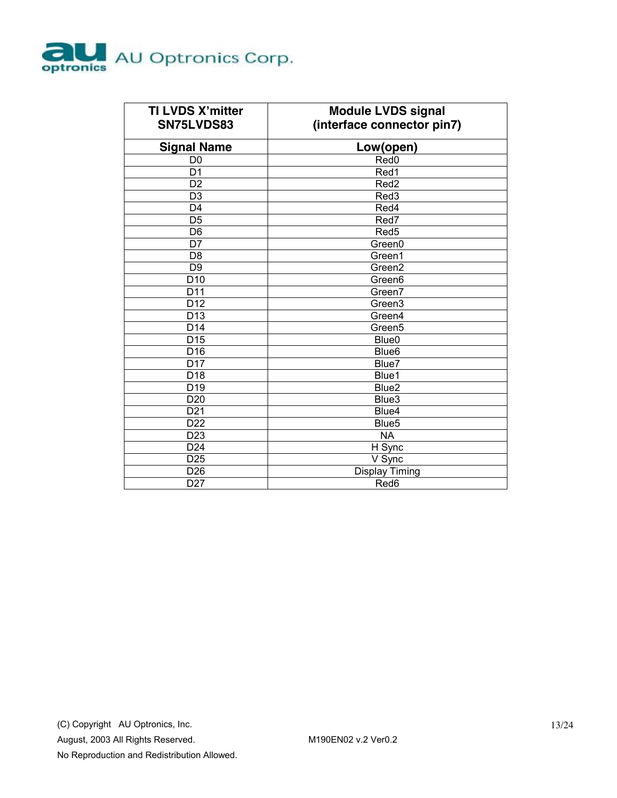| optronics |  | <b>au</b> Au Optronics Corp. |  |
|-----------|--|------------------------------|--|
|-----------|--|------------------------------|--|

| <b>TI LVDS X'mitter</b><br>SN75LVDS83 | <b>Module LVDS signal</b><br>(interface connector pin7) |  |
|---------------------------------------|---------------------------------------------------------|--|
| <b>Signal Name</b>                    | Low(open)                                               |  |
| D <sub>0</sub>                        | Red <sub>0</sub>                                        |  |
| D <sub>1</sub>                        | Red1                                                    |  |
| D <sub>2</sub>                        | Red <sub>2</sub>                                        |  |
| D <sub>3</sub>                        | Red3                                                    |  |
| D <sub>4</sub>                        | Red4                                                    |  |
| D <sub>5</sub>                        | Red7                                                    |  |
| $\overline{D6}$                       | Red <sub>5</sub>                                        |  |
| D7                                    | Green0                                                  |  |
| D <sub>8</sub>                        | Green1                                                  |  |
| $\overline{D9}$                       | Green2                                                  |  |
| D <sub>10</sub>                       | Green <sub>6</sub>                                      |  |
| D11                                   | Green7                                                  |  |
| D <sub>12</sub>                       | Green <sub>3</sub>                                      |  |
| D <sub>13</sub>                       | Green4                                                  |  |
| D <sub>14</sub>                       | Green <sub>5</sub>                                      |  |
| D15                                   | Blue <sub>0</sub>                                       |  |
| D <sub>16</sub>                       | Blue <sub>6</sub>                                       |  |
| D17                                   | Blue7                                                   |  |
| D <sub>18</sub>                       | Blue1                                                   |  |
| $\overline{D19}$                      | Blue <sub>2</sub>                                       |  |
| D <sub>20</sub>                       | Blue3                                                   |  |
| $\overline{D21}$                      | Blue4                                                   |  |
| D <sub>22</sub>                       | Blue <sub>5</sub>                                       |  |
| D <sub>23</sub>                       | <b>NA</b>                                               |  |
| D <sub>24</sub>                       | H Sync                                                  |  |
| D <sub>25</sub>                       | V Sync                                                  |  |
| D <sub>26</sub>                       | <b>Display Timing</b>                                   |  |
| D <sub>27</sub>                       | Red6                                                    |  |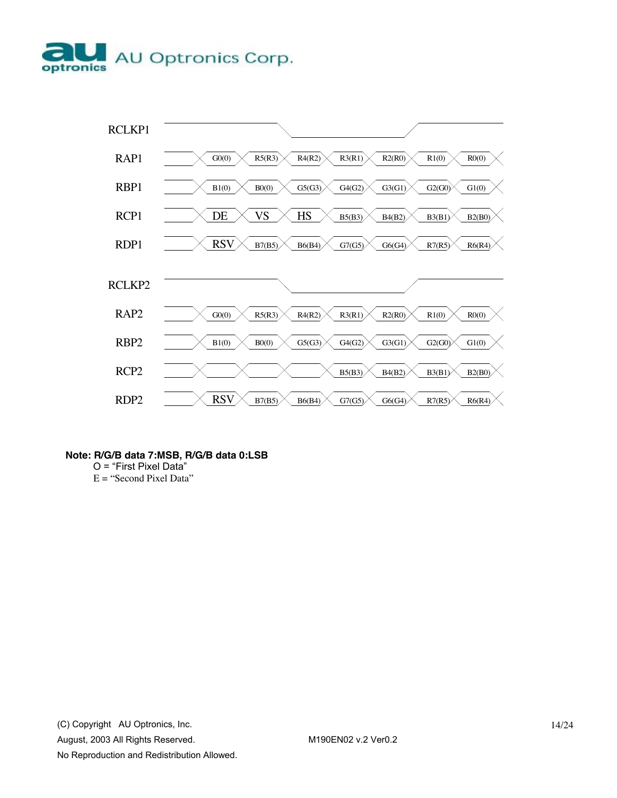



**Note: R/G/B data 7:MSB, R/G/B data 0:LSB** 

O = "First Pixel Data"

E = "Second Pixel Data"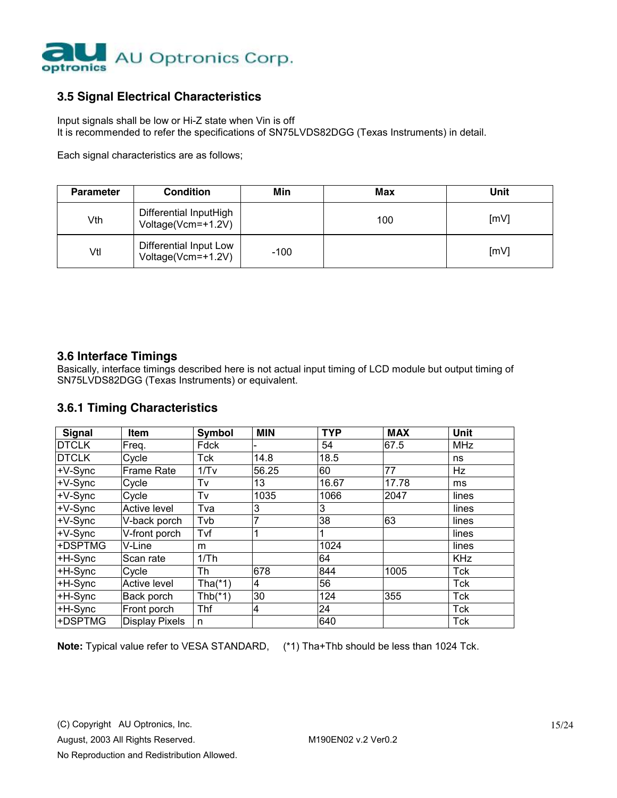

#### **3.5 Signal Electrical Characteristics**

Input signals shall be low or Hi-Z state when Vin is off It is recommended to refer the specifications of SN75LVDS82DGG (Texas Instruments) in detail.

Each signal characteristics are as follows;

| <b>Parameter</b> | <b>Condition</b>                             | Min    | Max | Unit |
|------------------|----------------------------------------------|--------|-----|------|
| Vth              | Differential InputHigh<br>Voltage(Vcm=+1.2V) |        | 100 | [mV] |
| Vtl              | Differential Input Low<br>Voltage(Vcm=+1.2V) | $-100$ |     | [mV] |

#### **3.6 Interface Timings**

Basically, interface timings described here is not actual input timing of LCD module but output timing of SN75LVDS82DGG (Texas Instruments) or equivalent.

#### **3.6.1 Timing Characteristics**

| <b>Signal</b>         | <b>Item</b>           | <b>Symbol</b> | <b>MIN</b> | <b>TYP</b> | <b>MAX</b> | Unit       |
|-----------------------|-----------------------|---------------|------------|------------|------------|------------|
| <b>DTCLK</b>          | Freq.                 | Fdck          |            | 54         | 67.5       | <b>MHz</b> |
| <b>DTCLK</b>          | Cycle                 | <b>Tck</b>    | 14.8       | 18.5       |            | ns         |
| +V-Sync               | <b>Frame Rate</b>     | 1/Tv          | 56.25      | 60         | 77         | Hz         |
| $\overline{+}V$ -Sync | Cycle                 | Tv            | 13         | 16.67      | 17.78      | ms         |
| $\overline{+V}$ -Sync | Cycle                 | Tv            | 1035       | 1066       | 2047       | lines      |
| +V-Sync               | <b>Active level</b>   | Tva           | 3          | 3          |            | lines      |
| +V-Sync               | V-back porch          | Tvb           | 7          | 38         | 63         | lines      |
| +V-Sync               | V-front porch         | Tvf           |            |            |            | lines      |
| +DSPTMG               | V-Line                | m             |            | 1024       |            | lines      |
| +H-Sync               | Scan rate             | 1/Th          |            | 64         |            | <b>KHz</b> |
| +H-Sync               | Cycle                 | Th            | 678        | 844        | 1005       | Tck        |
| +H-Sync               | <b>Active level</b>   | Tha $(*1)$    | 4          | 56         |            | <b>Tck</b> |
| +H-Sync               | Back porch            | $Thb(*1)$     | 30         | 124        | 355        | <b>Tck</b> |
| +H-Sync               | Front porch           | Thf           | 4          | 24         |            | Tck        |
| +DSPTMG               | <b>Display Pixels</b> | n             |            | 640        |            | <b>Tck</b> |

**Note:** Typical value refer to VESA STANDARD, (\*1) Tha+Thb should be less than 1024 Tck.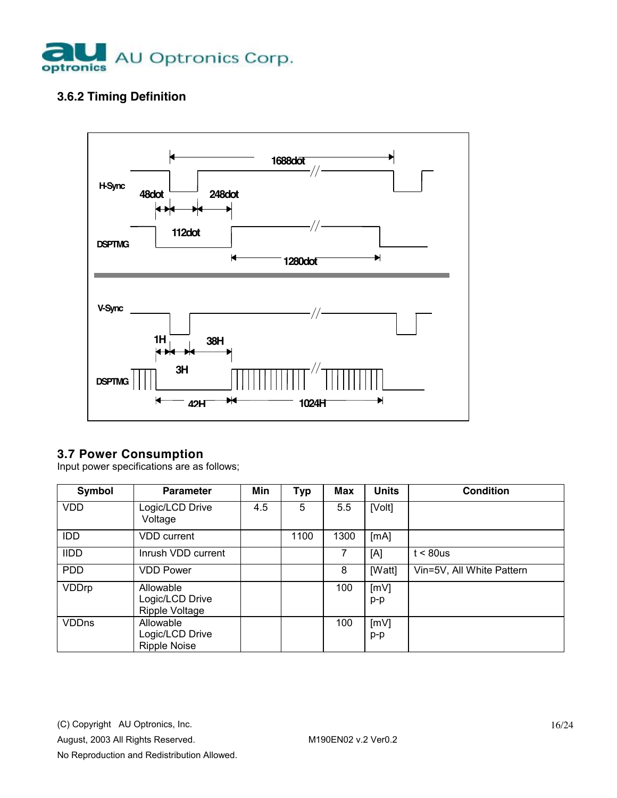

# **3.6.2 Timing Definition**



## **3.7 Power Consumption**

Input power specifications are as follows;

| <b>Symbol</b> | <b>Parameter</b>                                    | Min | <b>Typ</b> | <b>Max</b> | <b>Units</b> | <b>Condition</b>          |
|---------------|-----------------------------------------------------|-----|------------|------------|--------------|---------------------------|
| <b>VDD</b>    | Logic/LCD Drive<br>Voltage                          | 4.5 | 5          | 5.5        | [Volt]       |                           |
| IDD           | <b>VDD</b> current                                  |     | 1100       | 1300       | [mA]         |                           |
| <b>IIDD</b>   | Inrush VDD current                                  |     |            | 7          | [A]          | $t < 80$ us               |
| <b>PDD</b>    | <b>VDD Power</b>                                    |     |            | 8          | [Watt]       | Vin=5V, All White Pattern |
| VDDrp         | Allowable<br>Logic/LCD Drive<br>Ripple Voltage      |     |            | 100        | [mV]<br>p-p  |                           |
| <b>VDDns</b>  | Allowable<br>Logic/LCD Drive<br><b>Ripple Noise</b> |     |            | 100        | [mV]<br>p-p  |                           |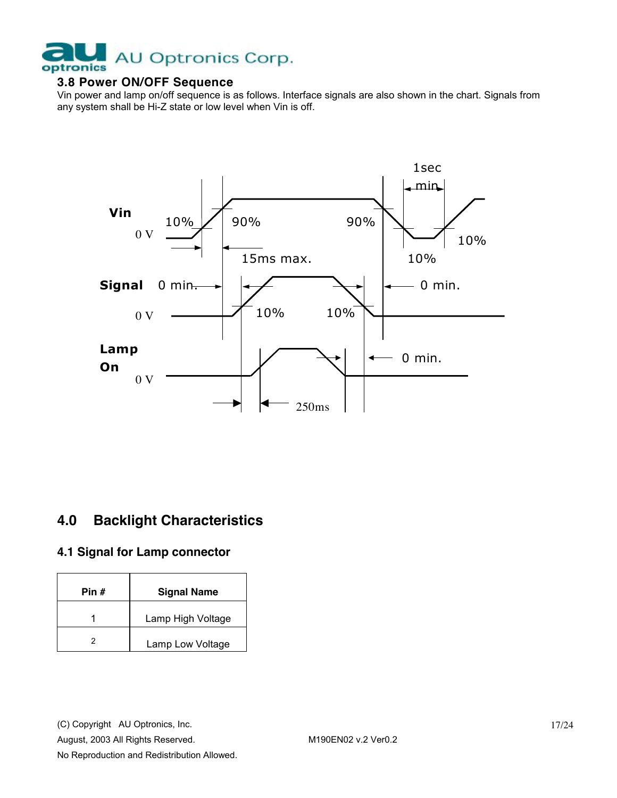

# **3.8 Power ON/OFF Sequence**

Vin power and lamp on/off sequence is as follows. Interface signals are also shown in the chart. Signals from any system shall be Hi-Z state or low level when Vin is off.



# **4.0 Backlight Characteristics**

#### **4.1 Signal for Lamp connector**

| Pin # | <b>Signal Name</b> |
|-------|--------------------|
|       | Lamp High Voltage  |
|       | Lamp Low Voltage   |

(C) Copyright AU Optronics, Inc. August, 2003 All Rights Reserved. M190EN02 v.2 Ver0.2 No Reproduction and Redistribution Allowed.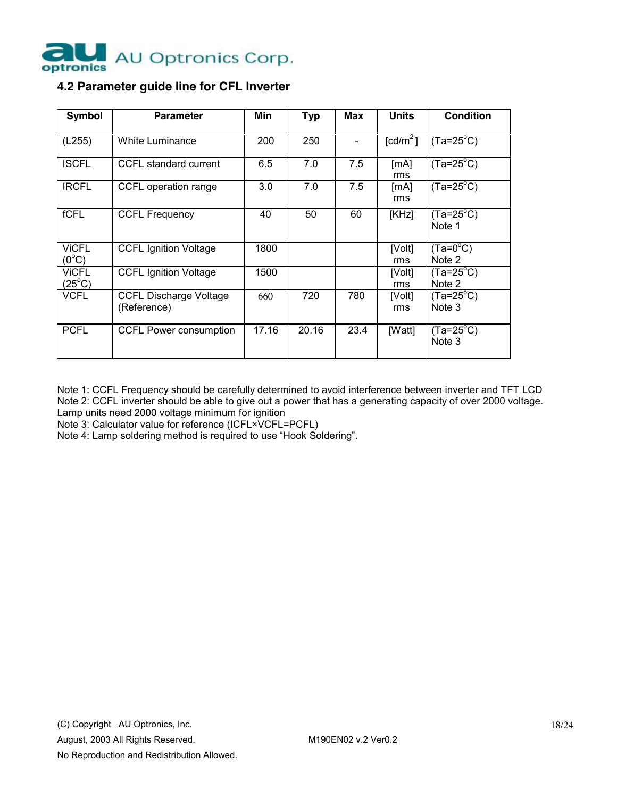

#### **4.2 Parameter guide line for CFL Inverter**

| Symbol                          | <b>Parameter</b>                             | Min   | <b>Typ</b> | Max  | <b>Units</b>                     | <b>Condition</b>             |
|---------------------------------|----------------------------------------------|-------|------------|------|----------------------------------|------------------------------|
| (L255)                          | White Luminance                              | 200   | 250        |      | $\text{\rm [cd/m}^2\text{\rm ]}$ | $(Ta=25^{\circ}C)$           |
| <b>ISCFL</b>                    | CCFL standard current                        | 6.5   | 7.0        | 7.5  | [mA]<br>rms                      | $(Ta=25^{\circ}C)$           |
| <b>IRCFL</b>                    | CCFL operation range                         | 3.0   | 7.0        | 7.5  | [mA]<br>rms                      | $(Ta=25^{\circ}C)$           |
| fCFL                            | <b>CCFL Frequency</b>                        | 40    | 50         | 60   | [KHz]                            | $(Ta=25^{\circ}C)$<br>Note 1 |
| <b>ViCFL</b><br>$(0^{\circ}C)$  | <b>CCFL Ignition Voltage</b>                 | 1800  |            |      | [Volt]<br>rms                    | $(Ta=0^{\circ}C)$<br>Note 2  |
| <b>ViCFL</b><br>$(25^{\circ}C)$ | <b>CCFL Ignition Voltage</b>                 | 1500  |            |      | [Volt]<br>rms                    | $(Ta=25^{\circ}C)$<br>Note 2 |
| <b>VCFL</b>                     | <b>CCFL Discharge Voltage</b><br>(Reference) | 660   | 720        | 780  | [Volt]<br>rms                    | $(Ta=25^{\circ}C)$<br>Note 3 |
| <b>PCFL</b>                     | <b>CCFL Power consumption</b>                | 17.16 | 20.16      | 23.4 | [Watt]                           | $(Ta=25^{\circ}C)$<br>Note 3 |

Note 1: CCFL Frequency should be carefully determined to avoid interference between inverter and TFT LCD Note 2: CCFL inverter should be able to give out a power that has a generating capacity of over 2000 voltage. Lamp units need 2000 voltage minimum for ignition

Note 3: Calculator value for reference (ICFL×VCFL=PCFL)

Note 4: Lamp soldering method is required to use "Hook Soldering".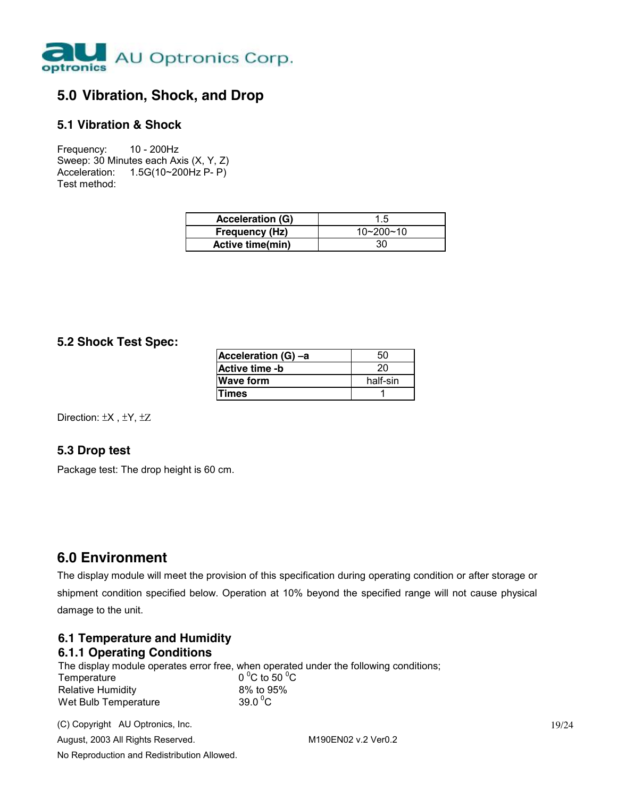

# **5.0 Vibration, Shock, and Drop**

#### **5.1 Vibration & Shock**

Frequency: 10 - 200Hz Sweep: 30 Minutes each Axis (X, Y, Z) Acceleration: 1.5G(10~200Hz P- P) Test method:

| <b>Acceleration (G)</b> | 1.5             |
|-------------------------|-----------------|
| Frequency (Hz)          | $10 - 200 - 10$ |
| <b>Active time(min)</b> | 30              |

#### **5.2 Shock Test Spec:**

| Acceleration (G) -a | 50       |
|---------------------|----------|
| Active time -b      | 20       |
| <b>Wave form</b>    | half-sin |
| <b>Times</b>        |          |

Direction: ±X , ±Y, ±Z

#### **5.3 Drop test**

Package test: The drop height is 60 cm.

# **6.0 Environment**

The display module will meet the provision of this specification during operating condition or after storage or shipment condition specified below. Operation at 10% beyond the specified range will not cause physical damage to the unit.

# **6.1 Temperature and Humidity**

#### **6.1.1 Operating Conditions**

The display module operates error free, when operated under the following conditions; **Temperature** C to 50 $\mathrm{^0C}$ Relative Humidity 8% to 95% Wet Bulb Temperature 39.0 $\mathrm{^0C}$ 

(C) Copyright AU Optronics, Inc. August, 2003 All Rights Reserved. M190EN02 v.2 Ver0.2 No Reproduction and Redistribution Allowed.

19/24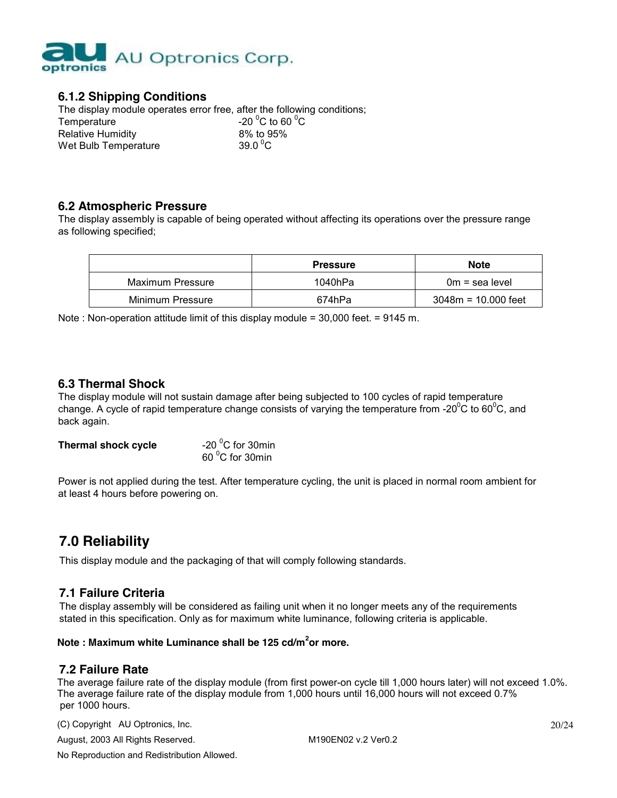

#### **6.1.2 Shipping Conditions**

The display module operates error free, after the following conditions; Temperature C to 60 $\degree$ C Relative Humidity 8% to 95% Wet Bulb Temperature 39.0 $\mathrm{^0C}$ 

#### **6.2 Atmospheric Pressure**

The display assembly is capable of being operated without affecting its operations over the pressure range as following specified;

|                  | <b>Pressure</b> | <b>Note</b>           |
|------------------|-----------------|-----------------------|
| Maximum Pressure | 1040hPa         | $0m =$ sea level      |
| Minimum Pressure | 674hPa          | $3048m = 10.000$ feet |

Note : Non-operation attitude limit of this display module = 30,000 feet. = 9145 m.

#### **6.3 Thermal Shock**

The display module will not sustain damage after being subjected to 100 cycles of rapid temperature change. A cycle of rapid temperature change consists of varying the temperature from -20 $\rm ^{0}C$  to 60 $\rm ^{0}C$ , and back again.

**Thermal shock cycle** -20 $\mathrm{^0C}$  for 30min  $60<sup>o</sup>C$  for 30min

Power is not applied during the test. After temperature cycling, the unit is placed in normal room ambient for at least 4 hours before powering on.

# **7.0 Reliability**

This display module and the packaging of that will comply following standards.

#### **7.1 Failure Criteria**

The display assembly will be considered as failing unit when it no longer meets any of the requirements stated in this specification. Only as for maximum white luminance, following criteria is applicable.

#### **Note : Maximum white Luminance shall be 125 cd/m<sup>2</sup> or more.**

#### **7.2 Failure Rate**

The average failure rate of the display module (from first power-on cycle till 1,000 hours later) will not exceed 1.0%. The average failure rate of the display module from 1,000 hours until 16,000 hours will not exceed 0.7% per 1000 hours.

(C) Copyright AU Optronics, Inc.

August, 2003 All Rights Reserved. M190EN02 v.2 Ver0.2

20/24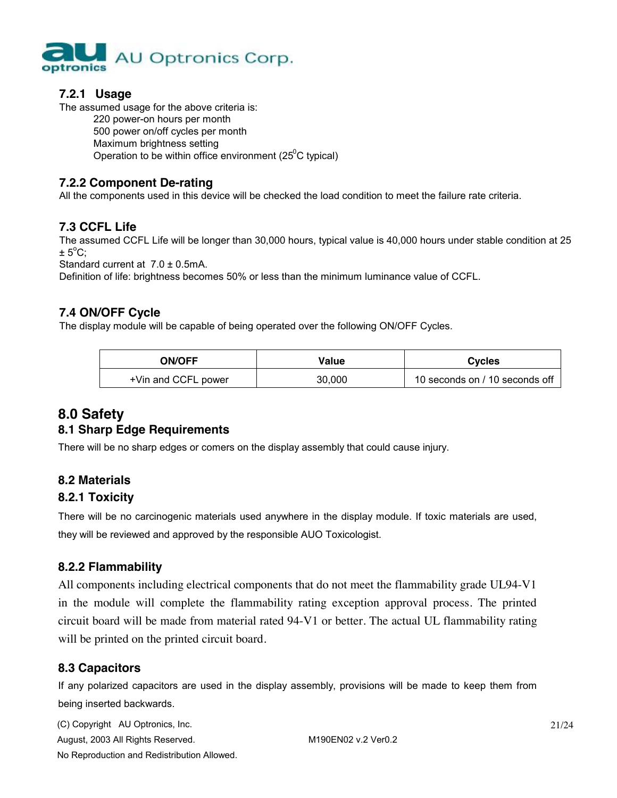

# **7.2.1 Usage**

The assumed usage for the above criteria is:

220 power-on hours per month 500 power on/off cycles per month Maximum brightness setting Operation to be within office environment ( $25^{\circ}$ C typical)

#### **7.2.2 Component De-rating**

All the components used in this device will be checked the load condition to meet the failure rate criteria.

# **7.3 CCFL Life**

The assumed CCFL Life will be longer than 30,000 hours, typical value is 40,000 hours under stable condition at 25  $\pm$  5°C;

Standard current at 7.0 ± 0.5mA.

Definition of life: brightness becomes 50% or less than the minimum luminance value of CCFL.

#### **7.4 ON/OFF Cycle**

The display module will be capable of being operated over the following ON/OFF Cycles.

| ON/OFF              | Value  | <b>Cycles</b>                  |
|---------------------|--------|--------------------------------|
| +Vin and CCFL power | 30.000 | 10 seconds on / 10 seconds off |

# **8.0 Safety 8.1 Sharp Edge Requirements**

There will be no sharp edges or comers on the display assembly that could cause injury.

#### **8.2 Materials**

#### **8.2.1 Toxicity**

There will be no carcinogenic materials used anywhere in the display module. If toxic materials are used, they will be reviewed and approved by the responsible AUO Toxicologist.

#### **8.2.2 Flammability**

All components including electrical components that do not meet the flammability grade UL94-V1 in the module will complete the flammability rating exception approval process. The printed circuit board will be made from material rated 94-V1 or better. The actual UL flammability rating will be printed on the printed circuit board.

#### **8.3 Capacitors**

If any polarized capacitors are used in the display assembly, provisions will be made to keep them from being inserted backwards.

(C) Copyright AU Optronics, Inc. August, 2003 All Rights Reserved. M190EN02 v.2 Ver0.2 No Reproduction and Redistribution Allowed.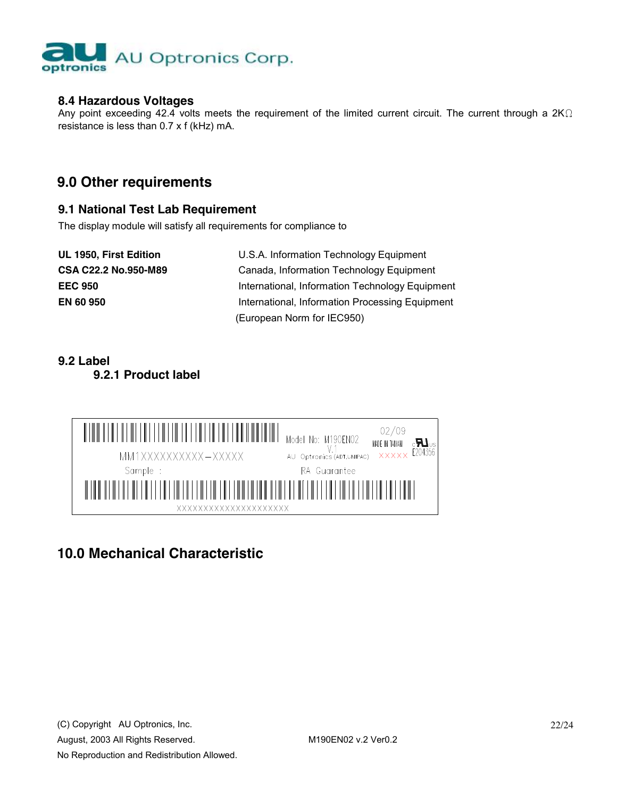

#### **8.4 Hazardous Voltages**

Any point exceeding 42.4 volts meets the requirement of the limited current circuit. The current through a  $2K\Omega$ resistance is less than 0.7 x f (kHz) mA.

# **9.0 Other requirements**

#### **9.1 National Test Lab Requirement**

The display module will satisfy all requirements for compliance to

| UL 1950, First Edition | U.S.A. Information Technology Equipment         |
|------------------------|-------------------------------------------------|
| CSA C22.2 No.950-M89   | Canada, Information Technology Equipment        |
| <b>EEC 950</b>         | International, Information Technology Equipment |
| EN 60 950              | International, Information Processing Equipment |
|                        | (European Norm for IEC950)                      |

#### **9.2 Label 9.2.1 Product label**



# **10.0 Mechanical Characteristic**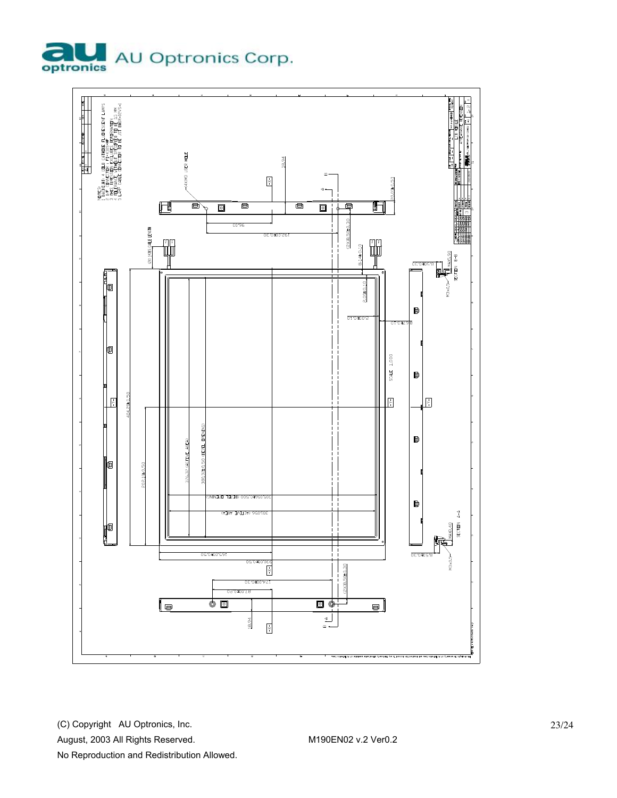